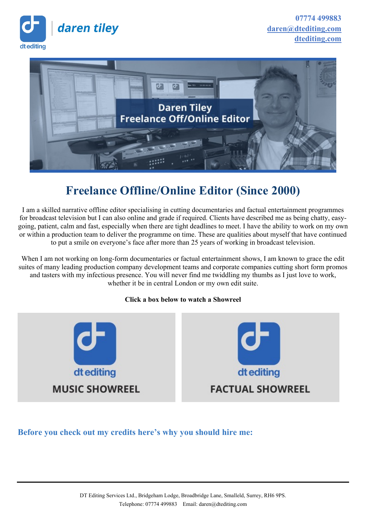



# **Freelance Offline/Online Editor (Since 2000)**

I am a skilled narrative offline editor specialising in cutting documentaries and factual entertainment programmes for broadcast television but I can also online and grade if required. Clients have described me as being chatty, easygoing, patient, calm and fast, especially when there are tight deadlines to meet. I have the ability to work on my own or within a production team to deliver the programme on time. These are qualities about myself that have continued to put a smile on everyone's face after more than 25 years of working in broadcast television.

When I am not working on long-form documentaries or factual entertainment shows, I am known to grace the edit suites of many leading production company development teams and corporate companies cutting short form promos and tasters with my infectious presence. You will never find me twiddling my thumbs as I just love to work, whether it be in central London or my own edit suite.

#### **Click a box below to watch a Showreel**



## **Before you check out my credits here's why you should hire me:**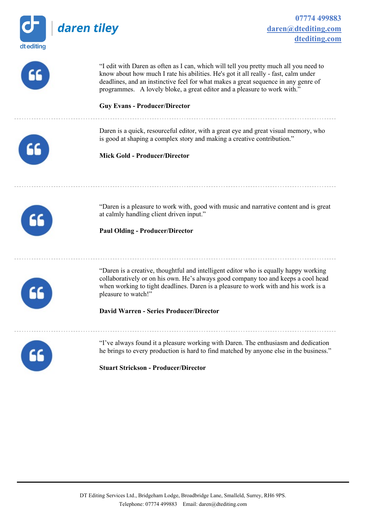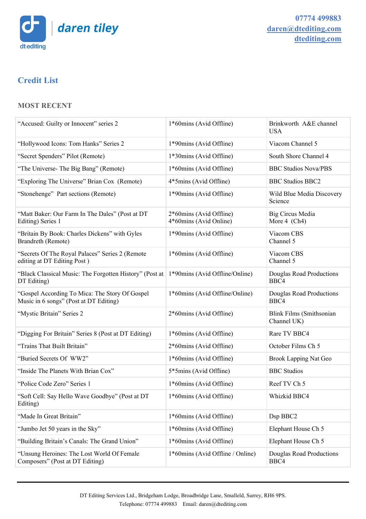

# **Credit List**

#### **MOST RECENT**

| "Accused: Guilty or Innocent" series 2                                                                | 1*60mins (Avid Offline)                           | Brinkworth A&E channel<br><b>USA</b>            |
|-------------------------------------------------------------------------------------------------------|---------------------------------------------------|-------------------------------------------------|
| "Hollywood Icons: Tom Hanks" Series 2                                                                 | 1*90mins (Avid Offline)                           | Viacom Channel 5                                |
| "Secret Spenders" Pilot (Remote)                                                                      | 1*30mins (Avid Offline)                           | South Shore Channel 4                           |
| "The Universe- The Big Bang" (Remote)                                                                 | 1*60mins (Avid Offline)                           | <b>BBC Studios Nova/PBS</b>                     |
| "Exploring The Universe" Brian Cox (Remote)                                                           | 4*5mins (Avid Offline)                            | <b>BBC Studios BBC2</b>                         |
| "Stonehenge" Part sections (Remote)                                                                   | 1*90mins (Avid Offline)                           | Wild Blue Media Discovery<br>Science            |
| "Matt Baker: Our Farm In The Dales" (Post at DT<br>Editing) Series 1                                  | 2*60mins (Avid Offline)<br>4*60mins (Avid Online) | Big Circus Media<br>More $4$ (Ch <sub>4</sub> ) |
| "Britain By Book: Charles Dickens" with Gyles<br>Brandreth (Remote)                                   | 1*90mins (Avid Offline)                           | Viacom CBS<br>Channel 5                         |
| "Secrets Of The Royal Palaces" Series 2 (Remote<br>editing at DT Editing Post)                        | 1*60mins (Avid Offline)                           | Viacom CBS<br>Channel 5                         |
| "Black Classical Music: The Forgotten History" (Post at 1*90mins (Avid Offline/Online)<br>DT Editing) |                                                   | Douglas Road Productions<br>BBC4                |
| "Gospel According To Mica: The Story Of Gospel<br>Music in 6 songs" (Post at DT Editing)              | 1*60mins (Avid Offline/Online)                    | Douglas Road Productions<br>BBC4                |
| "Mystic Britain" Series 2                                                                             | 2*60mins (Avid Offline)                           | <b>Blink Films (Smithsonian</b><br>Channel UK)  |
| "Digging For Britain" Series 8 (Post at DT Editing)                                                   | 1*60mins (Avid Offline)                           | Rare TV BBC4                                    |
| "Trains That Built Britain"                                                                           | 2*60mins (Avid Offline)                           | October Films Ch 5                              |
| "Buried Secrets Of WW2"                                                                               | 1*60mins (Avid Offline)                           | <b>Brook Lapping Nat Geo</b>                    |
| "Inside The Planets With Brian Cox"                                                                   | 5*5mins (Avid Offline)                            | <b>BBC</b> Studios                              |
| "Police Code Zero" Series 1                                                                           | 1*60mins (Avid Offline)                           | Reef TV Ch 5                                    |
| "Soft Cell: Say Hello Wave Goodbye" (Post at DT<br>Editing)                                           | 1*60mins (Avid Offline)                           | Whizkid BBC4                                    |
| "Made In Great Britain"                                                                               | 1*60mins (Avid Offline)                           | Dsp BBC2                                        |
| "Jumbo Jet 50 years in the Sky"                                                                       | 1*60mins (Avid Offline)                           | Elephant House Ch 5                             |
| "Building Britain's Canals: The Grand Union"                                                          | 1*60mins (Avid Offline)                           | Elephant House Ch 5                             |
| "Unsung Heroines: The Lost World Of Female<br>Composers" (Post at DT Editing)                         | 1*60mins (Avid Offline / Online)                  | Douglas Road Productions<br>BBC4                |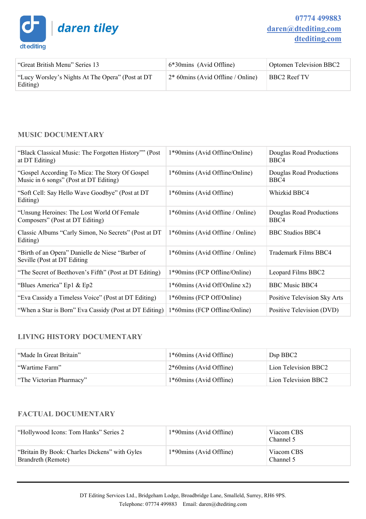

| "Great British Menu" Series 13                               | $6*30$ mins (Avid Offline)          | <b>Optomen Television BBC2</b> |
|--------------------------------------------------------------|-------------------------------------|--------------------------------|
| "Lucy Worsley's Nights At The Opera" (Post at DT<br>Editing) | $2*60$ mins (Avid Offline / Online) | <b>BBC2</b> Reef TV            |

#### **MUSIC DOCUMENTARY**

| "Black Classical Music: The Forgotten History"" (Post<br>at DT Editing)                   | 1*90mins (Avid Offline/Online)   | Douglas Road Productions<br>BBC4 |
|-------------------------------------------------------------------------------------------|----------------------------------|----------------------------------|
| "Gospel According To Mica: The Story Of Gospel"<br>Music in 6 songs" (Post at DT Editing) | 1*60mins (Avid Offline/Online)   | Douglas Road Productions<br>BBC4 |
| "Soft Cell: Say Hello Wave Goodbye" (Post at DT<br>Editing)                               | 1*60mins (Avid Offline)          | Whizkid BBC4                     |
| "Unsung Heroines: The Lost World Of Female"<br>Composers" (Post at DT Editing)            | 1*60mins (Avid Offline / Online) | Douglas Road Productions<br>BBC4 |
| Classic Albums "Carly Simon, No Secrets" (Post at DT<br>Editing)                          | 1*60mins (Avid Offline / Online) | <b>BBC Studios BBC4</b>          |
| "Birth of an Opera" Danielle de Niese "Barber of<br>Seville (Post at DT Editing)          | 1*60mins (Avid Offline / Online) | Trademark Films BBC4             |
| "The Secret of Beethoven's Fifth" (Post at DT Editing)                                    | 1*90mins (FCP Offline/Online)    | Leopard Films BBC2               |
| "Blues America" Ep1 & Ep2                                                                 | $1*60$ mins (Avid Off/Online x2) | <b>BBC Music BBC4</b>            |
| "Eva Cassidy a Timeless Voice" (Post at DT Editing)                                       | 1*60mins (FCP Off/Online)        | Positive Television Sky Arts     |
| "When a Star is Born" Eva Cassidy (Post at DT Editing)                                    | 1*60mins (FCP Offline/Online)    | Positive Television (DVD)        |

#### **LIVING HISTORY DOCUMENTARY**

| "Made In Great Britain"  | 1*60mins (Avid Offline)    | Dsp BBC2             |
|--------------------------|----------------------------|----------------------|
| "Wartime Farm"           | $2*60$ mins (Avid Offline) | Lion Television BBC2 |
| "The Victorian Pharmacy" | 1*60mins (Avid Offline)    | Lion Television BBC2 |

#### **FACTUAL DOCUMENTARY**

| "Hollywood Icons: Tom Hanks" Series 2                               | 1*90mins (Avid Offline) | Viacom CBS<br>Channel 5 |
|---------------------------------------------------------------------|-------------------------|-------------------------|
| "Britain By Book: Charles Dickens" with Gyles<br>Brandreth (Remote) | 1*90mins (Avid Offline) | Viacom CBS<br>Channel 5 |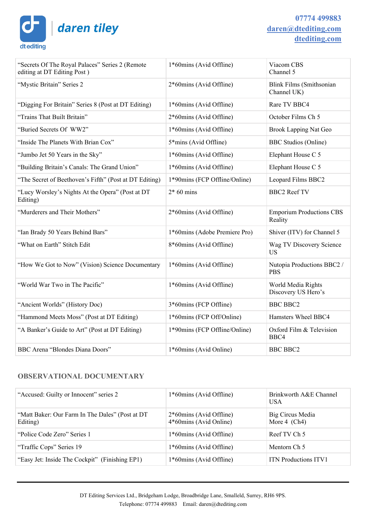daren tiley

dt editing



| "Secrets Of The Royal Palaces" Series 2 (Remote<br>editing at DT Editing Post) | 1*60mins (Avid Offline)            | Viacom CBS<br>Channel 5                        |
|--------------------------------------------------------------------------------|------------------------------------|------------------------------------------------|
| "Mystic Britain" Series 2                                                      | 2*60mins (Avid Offline)            | <b>Blink Films (Smithsonian</b><br>Channel UK) |
| "Digging For Britain" Series 8 (Post at DT Editing)                            | 1*60mins (Avid Offline)            | Rare TV BBC4                                   |
| "Trains That Built Britain"                                                    | 2*60mins (Avid Offline)            | October Films Ch 5                             |
| "Buried Secrets Of WW2"                                                        | 1*60mins (Avid Offline)            | <b>Brook Lapping Nat Geo</b>                   |
| "Inside The Planets With Brian Cox"                                            | 5 <sup>*</sup> mins (Avid Offline) | <b>BBC</b> Studios (Online)                    |
| "Jumbo Jet 50 Years in the Sky"                                                | 1*60mins (Avid Offline)            | Elephant House C 5                             |
| "Building Britain's Canals: The Grand Union"                                   | 1*60mins (Avid Offline)            | Elephant House C 5                             |
| "The Secret of Beethoven's Fifth" (Post at DT Editing)                         | 1*90mins (FCP Offline/Online)      | Leopard Films BBC2                             |
| "Lucy Worsley's Nights At the Opera" (Post at DT<br>Editing)                   | $2*60$ mins                        | <b>BBC2 Reef TV</b>                            |
| "Murderers and Their Mothers"                                                  | 2*60mins (Avid Offline)            | <b>Emporium Productions CBS</b><br>Reality     |
| "Ian Brady 50 Years Behind Bars"                                               | 1*60mins (Adobe Premiere Pro)      | Shiver (ITV) for Channel 5                     |
| "What on Earth" Stitch Edit                                                    | 8*60mins (Avid Offline)            | Wag TV Discovery Science<br><b>US</b>          |
| "How We Got to Now" (Vision) Science Documentary                               | 1*60mins (Avid Offline)            | Nutopia Productions BBC2 /<br><b>PBS</b>       |
| "World War Two in The Pacific"                                                 | 1*60mins (Avid Offline)            | World Media Rights<br>Discovery US Hero's      |
| "Ancient Worlds" (History Doc)                                                 | 3*60mins (FCP Offline)             | <b>BBC BBC2</b>                                |
| "Hammond Meets Moss" (Post at DT Editing)                                      | 1*60mins (FCP Off/Online)          | Hamsters Wheel BBC4                            |
| "A Banker's Guide to Art" (Post at DT Editing)                                 | 1*90mins (FCP Offline/Online)      | Oxford Film & Television<br>BBC4               |
| BBC Arena "Blondes Diana Doors"                                                | 1*60mins (Avid Online)             | <b>BBC BBC2</b>                                |

#### **OBSERVATIONAL DOCUMENTARY**

| "Accused: Guilty or Innocent" series 2                      | 1*60mins (Avid Offline)                           | Brinkworth A&E Channel<br><b>USA</b> |
|-------------------------------------------------------------|---------------------------------------------------|--------------------------------------|
| "Matt Baker: Our Farm In The Dales" (Post at DT<br>Editing) | 2*60mins (Avid Offline)<br>4*60mins (Avid Online) | Big Circus Media<br>More 4 $(Ch4)$   |
| "Police Code Zero" Series 1                                 | 1*60mins (Avid Offline)                           | Reef TV Ch 5                         |
| "Traffic Cops" Series 19                                    | 1*60mins (Avid Offline)                           | Mentorn Ch 5                         |
| "Easy Jet: Inside The Cockpit" (Finishing EP1)              | 1*60mins (Avid Offline)                           | <b>ITN</b> Productions <b>ITV1</b>   |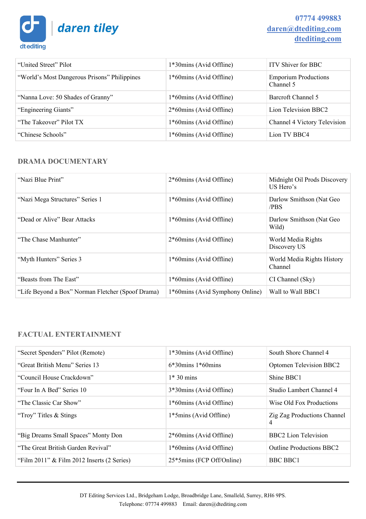

| "United Street" Pilot                        | 1*30mins (Avid Offline) | <b>ITV Shiver for BBC</b>                |
|----------------------------------------------|-------------------------|------------------------------------------|
| "World's Most Dangerous Prisons" Philippines | 1*60mins (Avid Offline) | <b>Emporium Productions</b><br>Channel 5 |
| "Nanna Love: 50 Shades of Granny"            | 1*60mins (Avid Offline) | Barcroft Channel 5                       |
| "Engineering Giants"                         | 2*60mins (Avid Offline) | Lion Television BBC2                     |
| "The Takeover" Pilot TX                      | 1*60mins (Avid Offline) | Channel 4 Victory Television             |
| "Chinese Schools"                            | 1*60mins (Avid Offline) | Lion TV BBC4                             |

#### **DRAMA DOCUMENTARY**

| "Nazi Blue Print"                                 | 2*60mins (Avid Offline)         | Midnight Oil Prods Discovery<br>US Hero's |
|---------------------------------------------------|---------------------------------|-------------------------------------------|
| "Nazi Mega Structures" Series 1                   | 1*60mins (Avid Offline)         | Darlow Smithson (Nat Geo<br>/PBS          |
| "Dead or Alive" Bear Attacks                      | 1*60mins (Avid Offline)         | Darlow Smithson (Nat Geo<br>Wild)         |
| "The Chase Manhunter"                             | 2*60mins (Avid Offline)         | World Media Rights<br>Discovery US        |
| "Myth Hunters" Series 3                           | 1*60mins (Avid Offline)         | World Media Rights History<br>Channel     |
| "Beasts from The East"                            | 1*60mins (Avid Offline)         | CI Channel (Sky)                          |
| "Life Beyond a Box" Norman Fletcher (Spoof Drama) | 1*60mins (Avid Symphony Online) | Wall to Wall BBC1                         |

#### **FACTUAL ENTERTAINMENT**

| "Secret Spenders" Pilot (Remote)                | 1*30mins (Avid Offline)   | South Shore Channel 4                   |
|-------------------------------------------------|---------------------------|-----------------------------------------|
| "Great British Menu" Series 13                  | $6*30$ mins $1*60$ mins   | Optomen Television BBC2                 |
| "Council House Crackdown"                       | $1*30$ mins               | Shine BBC1                              |
| "Four In A Bed" Series 10                       | 3*30mins (Avid Offline)   | Studio Lambert Channel 4                |
| "The Classic Car Show"                          | 1*60mins (Avid Offline)   | Wise Old Fox Productions                |
| "Troy" Titles & Stings                          | 1*5mins (Avid Offline)    | <b>Zig Zag Productions Channel</b><br>4 |
| "Big Dreams Small Spaces" Monty Don             | 2*60mins (Avid Offline)   | BBC2 Lion Television                    |
| "The Great British Garden Revival"              | 1*60mins (Avid Offline)   | <b>Outline Productions BBC2</b>         |
| "Film $2011$ " & Film $2012$ Inserts (2 Series) | 25*5mins (FCP Off/Online) | <b>BBC BBC1</b>                         |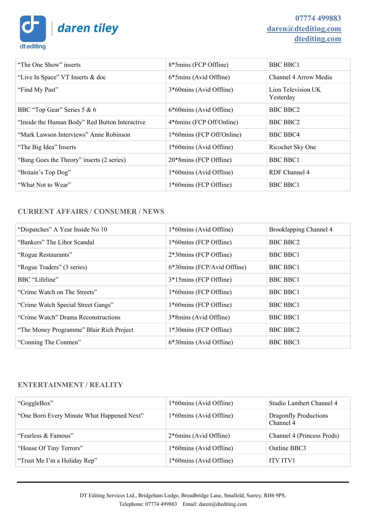daren tiley

dt editing

# **07774 499883 [daren@dtediting.com](mailto:daren@dtediting.com) [dtediting.com](http://dtediting.com/)**

| "The One Show" inserts                         | 8*5mins (FCP Offline)     | <b>BBC BBC1</b>                 |
|------------------------------------------------|---------------------------|---------------------------------|
| "Live In Space" VT Inserts & doc               | 6*5mins (Avid Offline)    | Channel 4 Arrow Media           |
| "Find My Past"                                 | 3*60mins (Avid Offline)   | Lion Television UK<br>Yesterday |
| BBC "Top Gear" Series 5 & 6                    | 6*60mins (Avid Offline)   | BBC BBC2                        |
| "Inside the Human Body" Red Button Interactive | 4*6mins (FCP Off/Online)  | BBC BBC2                        |
| "Mark Lawson Interviews" Anne Robinson         | 1*60mins (FCP Off/Online) | BBC BBC4                        |
| "The Big Idea" Inserts                         | 1*60mins (Avid Offline)   | Ricochet Sky One                |
| "Bang Goes the Theory" inserts (2 series)      | 20*8mins (FCP Offline)    | <b>BBC BBC1</b>                 |
| "Britain's Top Dog"                            | 1*60mins (Avid Offline)   | RDF Channel 4                   |
| "What Not to Wear"                             | 1*60mins (FCP Offline)    | <b>BBC BBC1</b>                 |
|                                                |                           |                                 |

### **CURRENT AFFAIRS / CONSUMER / NEWS**

| "Dispatches" A Year Inside No 10         | 1*60mins (Avid Offline)     | Brooklapping Channel 4 |
|------------------------------------------|-----------------------------|------------------------|
| "Bankers" The Libor Scandal              | 1*60mins (FCP Offline)      | <b>BBC BBC2</b>        |
| "Rogue Restaurants"                      | 2*30mins (FCP Offline)      | <b>BBC BBC1</b>        |
| "Rogue Traders" (3 series)               | 6*30mins (FCP/Avid Offline) | <b>BBC BBC1</b>        |
| BBC "Lifeline"                           | 3*15mins (FCP Offline)      | <b>BBC BBC1</b>        |
| "Crime Watch on The Streets"             | 1*60mins (FCP Offline)      | <b>BBC BBC1</b>        |
| "Crime Watch Special Street Gangs"       | 1*60mins (FCP Offline)      | <b>BBC BBC1</b>        |
| "Crime Watch" Drama Reconstructions      | 3*8mins (Avid Offline)      | <b>BBC BBC1</b>        |
| "The Money Programme" Blair Rich Project | 1*30mins (FCP Offline)      | BBC BBC2               |
| "Conning The Conmen"                     | 6*30mins (Avid Offline)     | <b>BBC BBC3</b>        |

#### **ENTERTAINMENT / REALITY**

| "GoggleBox"                                | 1*60mins (Avid Offline) | Studio Lambert Channel 4           |
|--------------------------------------------|-------------------------|------------------------------------|
| "One Born Every Minute What Happened Next" | 1*60mins (Avid Offline) | Dragonfly Productions<br>Channel 4 |
| "Fearless & Famous"                        | 2*6mins (Avid Offline)  | Channel 4 (Princess Prods)         |
| "House Of Tiny Terrors"                    | 1*60mins (Avid Offline) | Outline BBC3                       |
| "Trust Me I'm a Holiday Rep"               | 1*60mins (Avid Offline) | <b>ITV ITV1</b>                    |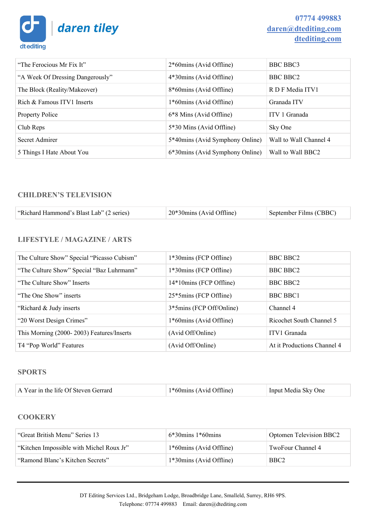daren tiley dt editing

| "The Ferocious Mr Fix It"        | 2*60mins (Avid Offline)         | BBC BBC3               |
|----------------------------------|---------------------------------|------------------------|
| "A Week Of Dressing Dangerously" | 4*30mins (Avid Offline)         | BBC BBC2               |
| The Block (Reality/Makeover)     | 8*60mins (Avid Offline)         | R D F Media ITV1       |
| Rich & Famous ITV1 Inserts       | 1*60mins (Avid Offline)         | Granada ITV            |
| <b>Property Police</b>           | 6*8 Mins (Avid Offline)         | ITV 1 Granada          |
| Club Reps                        | 5*30 Mins (Avid Offline)        | Sky One                |
| Secret Admirer                   | 5*40mins (Avid Symphony Online) | Wall to Wall Channel 4 |
| 5 Things I Hate About You        | 6*30mins (Avid Symphony Online) | Wall to Wall BBC2      |

#### **CHILDREN'S TELEVISION**

| "Richard Hammond's Blast Lab" (2 series) | $20*30$ mins (Avid Offline) | September Films (CBBC) |
|------------------------------------------|-----------------------------|------------------------|
|------------------------------------------|-----------------------------|------------------------|

#### **LIFESTYLE / MAGAZINE / ARTS**

| The Culture Show" Special "Picasso Cubism" | 1*30mins (FCP Offline)   | BBC BBC2                    |
|--------------------------------------------|--------------------------|-----------------------------|
| "The Culture Show" Special "Baz Luhrmann"  | 1*30mins (FCP Offline)   | BBC BBC2                    |
| "The Culture Show" Inserts                 | 14*10mins (FCP Offline)  | BBC BBC2                    |
| "The One Show" inserts                     | 25*5mins (FCP Offline)   | BBC BBC1                    |
| "Richard & Judy inserts"                   | 3*5mins (FCP Off/Online) | Channel 4                   |
| "20 Worst Design Crimes"                   | 1*60mins (Avid Offline)  | Ricochet South Channel 5    |
| This Morning (2000-2003) Features/Inserts  | (Avid Off/Online)        | ITV1 Granada                |
| T4 "Pop World" Features                    | (Avid Off/Online)        | At it Productions Channel 4 |

#### **SPORTS**

| A Year in the life Of Steven Gerrard | $1*60$ mins (Avid Offline) | Input Media Sky One |
|--------------------------------------|----------------------------|---------------------|
|                                      |                            |                     |

#### **COOKERY**

| "Great British Menu" Series 13           | $6*30$ mins 1*60mins    | Optomen Television BBC2 |
|------------------------------------------|-------------------------|-------------------------|
| "Kitchen Impossible with Michel Roux Jr" | 1*60mins (Avid Offline) | TwoFour Channel 4       |
| "Ramond Blanc's Kitchen Secrets"         | 1*30mins (Avid Offline) | BBC <sub>2</sub>        |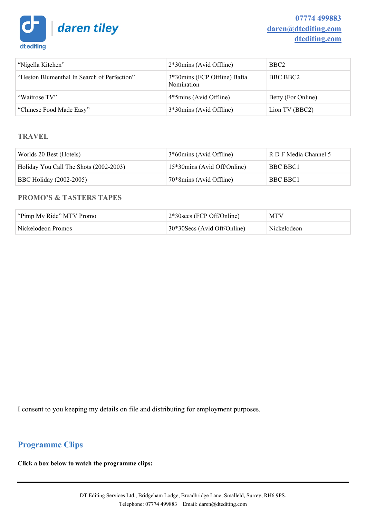

| "Nigella Kitchen"                           | 2*30mins (Avid Offline)                    | BBC <sub>2</sub>   |
|---------------------------------------------|--------------------------------------------|--------------------|
| "Heston Blumenthal In Search of Perfection" | 3*30mins (FCP Offline) Bafta<br>Nomination | BBC BBC2           |
| "Waitrose TV"                               | 4*5mins (Avid Offline)                     | Betty (For Online) |
| "Chinese Food Made Easy"                    | 3*30mins (Avid Offline)                    | Lion TV (BBC2)     |

#### **TRAVEL**

| Worlds 20 Best (Hotels)                | 3*60mins (Avid Offline)     | R D F Media Channel 5 |
|----------------------------------------|-----------------------------|-----------------------|
| Holiday You Call The Shots (2002-2003) | 15*30mins (Avid Off/Online) | <b>BBC BBC1</b>       |
| <b>BBC Holiday (2002-2005)</b>         | 70*8mins (Avid Offline)     | <b>BBC BBC1</b>       |

#### **PROMO'S & TASTERS TAPES**

| "Pimp My Ride" MTV Promo" | $2*30$ secs (FCP Off/Online) | MTV         |
|---------------------------|------------------------------|-------------|
| Nickelodeon Promos        | 30*30Secs (Avid Off/Online)  | Nickelodeon |

I consent to you keeping my details on file and distributing for employment purposes.

# **Programme Clips**

**Click a box below to watch the programme clips:**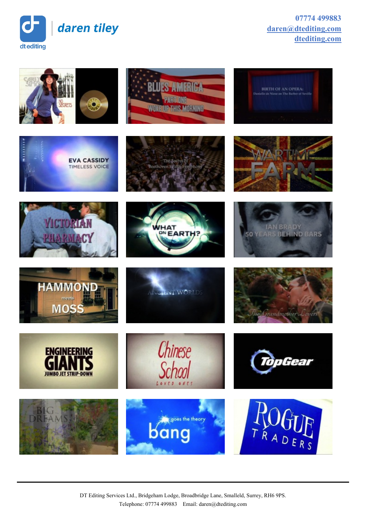

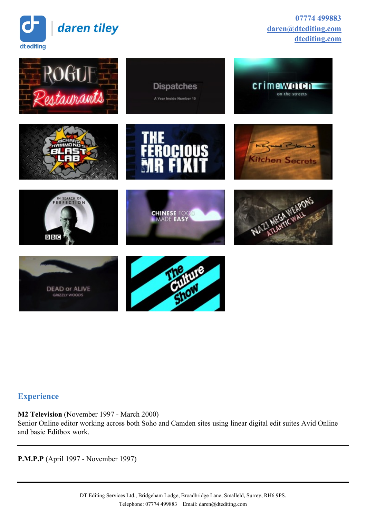

**07774 499883 [daren@dtediting.com](mailto:daren@dtediting.com) [dtediting.com](http://dtediting.com/)**



# **Experience**

**M2 Television** (November 1997 - March 2000) Senior Online editor working across both Soho and Camden sites using linear digital edit suites Avid Online and basic Editbox work.

**P.M.P.P** (April 1997 - November 1997)